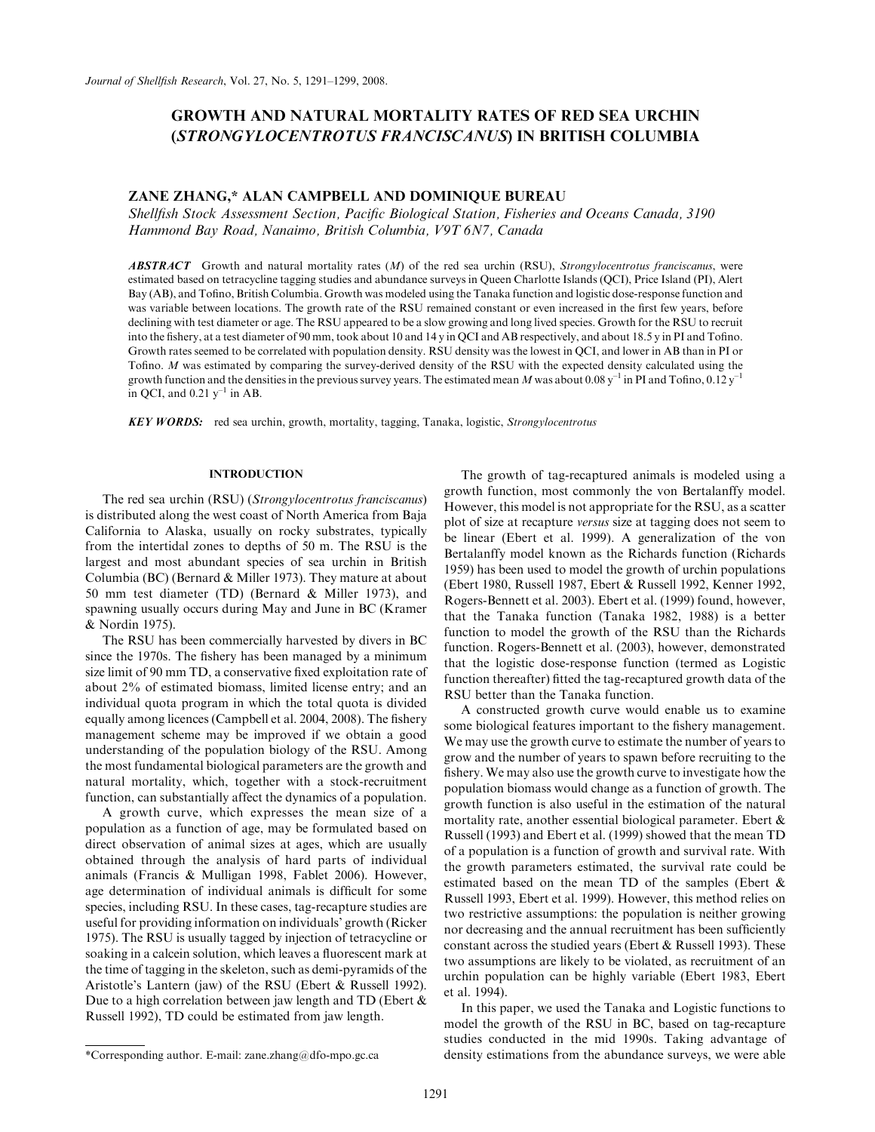# GROWTH AND NATURAL MORTALITY RATES OF RED SEA URCHIN (STRONGYLOCENTROTUS FRANCISCANUS) IN BRITISH COLUMBIA

# ZANE ZHANG,\* ALAN CAMPBELL AND DOMINIQUE BUREAU

Shellfish Stock Assessment Section, Pacific Biological Station, Fisheries and Oceans Canada, 3190 Hammond Bay Road, Nanaimo, British Columbia, V9T 6N7, Canada

**ABSTRACT** Growth and natural mortality rates (M) of the red sea urchin (RSU), Strongylocentrotus franciscanus, were estimated based on tetracycline tagging studies and abundance surveys in Queen Charlotte Islands (QCI), Price Island (PI), Alert Bay (AB), and Tofino, British Columbia. Growth was modeled using the Tanaka function and logistic dose-response function and was variable between locations. The growth rate of the RSU remained constant or even increased in the first few years, before declining with test diameter or age. The RSU appeared to be a slow growing and long lived species. Growth for the RSU to recruit into the fishery, at a test diameter of 90 mm, took about 10 and 14 y in QCI and AB respectively, and about 18.5 y in PI and Tofino. Growth rates seemed to be correlated with population density. RSU density was the lowest in QCI, and lower in AB than in PI or Tofino. M was estimated by comparing the survey-derived density of the RSU with the expected density calculated using the growth function and the densities in the previous survey years. The estimated mean M was about 0.08 y<sup>-1</sup> in PI and Tofino, 0.12 y<sup>-1</sup> in QCI, and  $0.21 \text{ y}^{-1}$  in AB.

**KEY WORDS:** red sea urchin, growth, mortality, tagging, Tanaka, logistic, Strongylocentrotus

# INTRODUCTION

The red sea urchin (RSU) (Strongylocentrotus franciscanus) is distributed along the west coast of North America from Baja California to Alaska, usually on rocky substrates, typically from the intertidal zones to depths of 50 m. The RSU is the largest and most abundant species of sea urchin in British Columbia (BC) (Bernard & Miller 1973). They mature at about 50 mm test diameter (TD) (Bernard & Miller 1973), and spawning usually occurs during May and June in BC (Kramer & Nordin 1975).

The RSU has been commercially harvested by divers in BC since the 1970s. The fishery has been managed by a minimum size limit of 90 mm TD, a conservative fixed exploitation rate of about 2% of estimated biomass, limited license entry; and an individual quota program in which the total quota is divided equally among licences (Campbell et al. 2004, 2008). The fishery management scheme may be improved if we obtain a good understanding of the population biology of the RSU. Among the most fundamental biological parameters are the growth and natural mortality, which, together with a stock-recruitment function, can substantially affect the dynamics of a population.

A growth curve, which expresses the mean size of a population as a function of age, may be formulated based on direct observation of animal sizes at ages, which are usually obtained through the analysis of hard parts of individual animals (Francis & Mulligan 1998, Fablet 2006). However, age determination of individual animals is difficult for some species, including RSU. In these cases, tag-recapture studies are useful for providing information on individuals' growth (Ricker 1975). The RSU is usually tagged by injection of tetracycline or soaking in a calcein solution, which leaves a fluorescent mark at the time of tagging in the skeleton, such as demi-pyramids of the Aristotle's Lantern (jaw) of the RSU (Ebert & Russell 1992). Due to a high correlation between jaw length and TD (Ebert & Russell 1992), TD could be estimated from jaw length.

The growth of tag-recaptured animals is modeled using a growth function, most commonly the von Bertalanffy model. However, this model is not appropriate for the RSU, as a scatter plot of size at recapture versus size at tagging does not seem to be linear (Ebert et al. 1999). A generalization of the von Bertalanffy model known as the Richards function (Richards 1959) has been used to model the growth of urchin populations (Ebert 1980, Russell 1987, Ebert & Russell 1992, Kenner 1992, Rogers-Bennett et al. 2003). Ebert et al. (1999) found, however, that the Tanaka function (Tanaka 1982, 1988) is a better function to model the growth of the RSU than the Richards function. Rogers-Bennett et al. (2003), however, demonstrated that the logistic dose-response function (termed as Logistic function thereafter) fitted the tag-recaptured growth data of the RSU better than the Tanaka function.

A constructed growth curve would enable us to examine some biological features important to the fishery management. We may use the growth curve to estimate the number of years to grow and the number of years to spawn before recruiting to the fishery. We may also use the growth curve to investigate how the population biomass would change as a function of growth. The growth function is also useful in the estimation of the natural mortality rate, another essential biological parameter. Ebert & Russell (1993) and Ebert et al. (1999) showed that the mean TD of a population is a function of growth and survival rate. With the growth parameters estimated, the survival rate could be estimated based on the mean TD of the samples (Ebert & Russell 1993, Ebert et al. 1999). However, this method relies on two restrictive assumptions: the population is neither growing nor decreasing and the annual recruitment has been sufficiently constant across the studied years (Ebert & Russell 1993). These two assumptions are likely to be violated, as recruitment of an urchin population can be highly variable (Ebert 1983, Ebert et al. 1994).

In this paper, we used the Tanaka and Logistic functions to model the growth of the RSU in BC, based on tag-recapture studies conducted in the mid 1990s. Taking advantage of \*Corresponding author. E-mail: zane.zhang@dfo-mpo.gc.ca density estimations from the abundance surveys, we were able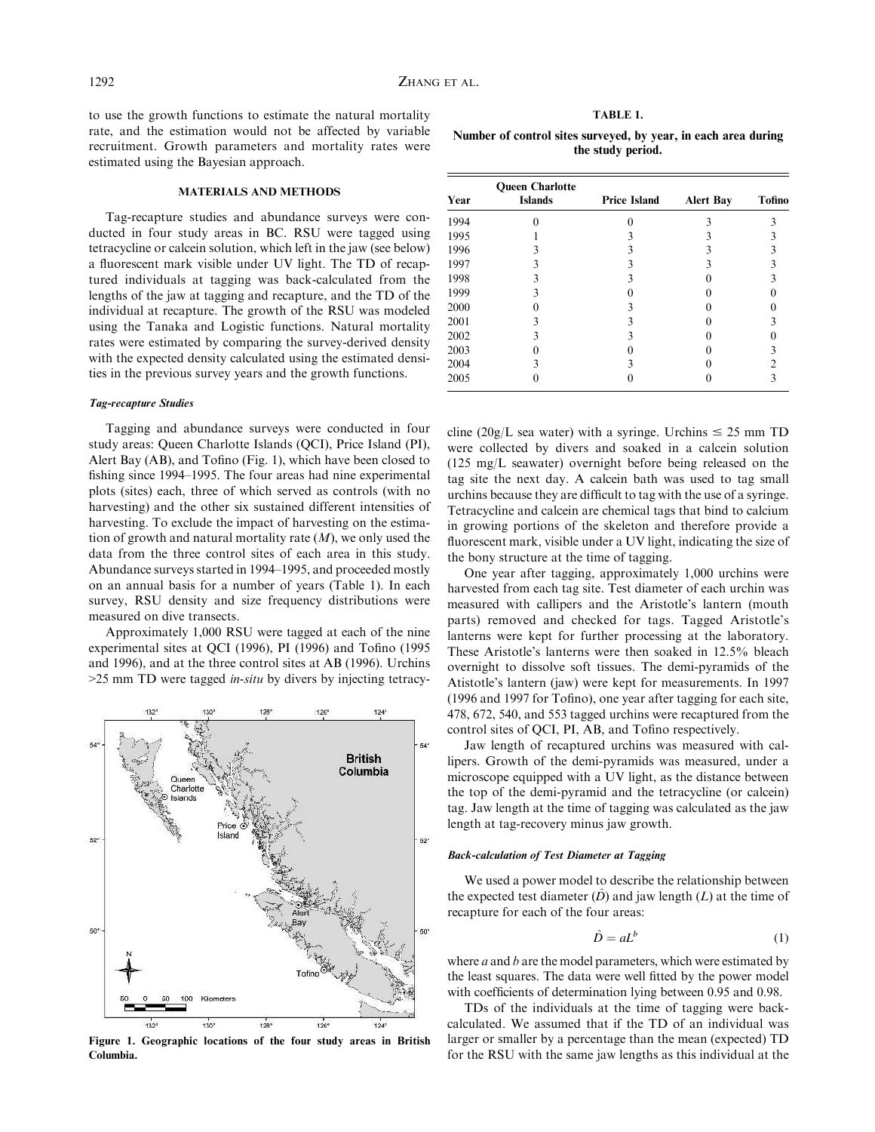to use the growth functions to estimate the natural mortality rate, and the estimation would not be affected by variable recruitment. Growth parameters and mortality rates were estimated using the Bayesian approach.

#### MATERIALS AND METHODS

Tag-recapture studies and abundance surveys were conducted in four study areas in BC. RSU were tagged using tetracycline or calcein solution, which left in the jaw (see below) a fluorescent mark visible under UV light. The TD of recaptured individuals at tagging was back-calculated from the lengths of the jaw at tagging and recapture, and the TD of the individual at recapture. The growth of the RSU was modeled using the Tanaka and Logistic functions. Natural mortality rates were estimated by comparing the survey-derived density with the expected density calculated using the estimated densities in the previous survey years and the growth functions.

# Tag-recapture Studies

Tagging and abundance surveys were conducted in four study areas: Queen Charlotte Islands (QCI), Price Island (PI), Alert Bay (AB), and Tofino (Fig. 1), which have been closed to fishing since 1994–1995. The four areas had nine experimental plots (sites) each, three of which served as controls (with no harvesting) and the other six sustained different intensities of harvesting. To exclude the impact of harvesting on the estimation of growth and natural mortality rate  $(M)$ , we only used the data from the three control sites of each area in this study. Abundance surveys started in 1994–1995, and proceeded mostly on an annual basis for a number of years (Table 1). In each survey, RSU density and size frequency distributions were measured on dive transects.

Approximately 1,000 RSU were tagged at each of the nine experimental sites at QCI (1996), PI (1996) and Tofino (1995 and 1996), and at the three control sites at AB (1996). Urchins  $>$ 25 mm TD were tagged *in-situ* by divers by injecting tetracy-



Figure 1. Geographic locations of the four study areas in British Columbia.

| ιBΙ<br>ъ.<br>п. |
|-----------------|
|-----------------|

Number of control sites surveyed, by year, in each area during the study period.

| Year | <b>Queen Charlotte</b><br><b>Islands</b> | <b>Price Island</b> | <b>Alert Bay</b> | Tofino |
|------|------------------------------------------|---------------------|------------------|--------|
| 1994 |                                          |                     |                  |        |
| 1995 |                                          |                     |                  |        |
| 1996 |                                          |                     |                  |        |
| 1997 |                                          |                     |                  |        |
| 1998 |                                          |                     |                  |        |
| 1999 |                                          |                     |                  |        |
| 2000 |                                          |                     |                  |        |
| 2001 |                                          |                     |                  |        |
| 2002 |                                          |                     |                  |        |
| 2003 |                                          |                     |                  |        |
| 2004 |                                          |                     |                  |        |
| 2005 |                                          |                     |                  |        |

cline (20g/L sea water) with a syringe. Urchins  $\leq$  25 mm TD were collected by divers and soaked in a calcein solution (125 mg/L seawater) overnight before being released on the tag site the next day. A calcein bath was used to tag small urchins because they are difficult to tag with the use of a syringe. Tetracycline and calcein are chemical tags that bind to calcium in growing portions of the skeleton and therefore provide a fluorescent mark, visible under a UV light, indicating the size of the bony structure at the time of tagging.

One year after tagging, approximately 1,000 urchins were harvested from each tag site. Test diameter of each urchin was measured with callipers and the Aristotle's lantern (mouth parts) removed and checked for tags. Tagged Aristotle's lanterns were kept for further processing at the laboratory. These Aristotle's lanterns were then soaked in 12.5% bleach overnight to dissolve soft tissues. The demi-pyramids of the Atistotle's lantern (jaw) were kept for measurements. In 1997 (1996 and 1997 for Tofino), one year after tagging for each site, 478, 672, 540, and 553 tagged urchins were recaptured from the control sites of QCI, PI, AB, and Tofino respectively.

Jaw length of recaptured urchins was measured with callipers. Growth of the demi-pyramids was measured, under a microscope equipped with a UV light, as the distance between the top of the demi-pyramid and the tetracycline (or calcein) tag. Jaw length at the time of tagging was calculated as the jaw length at tag-recovery minus jaw growth.

# Back-calculation of Test Diameter at Tagging

We used a power model to describe the relationship between the expected test diameter  $(D)$  and jaw length  $(L)$  at the time of recapture for each of the four areas:

$$
\hat{D} = aL^b \tag{1}
$$

where  $a$  and  $b$  are the model parameters, which were estimated by the least squares. The data were well fitted by the power model with coefficients of determination lying between 0.95 and 0.98.

TDs of the individuals at the time of tagging were backcalculated. We assumed that if the TD of an individual was larger or smaller by a percentage than the mean (expected) TD for the RSU with the same jaw lengths as this individual at the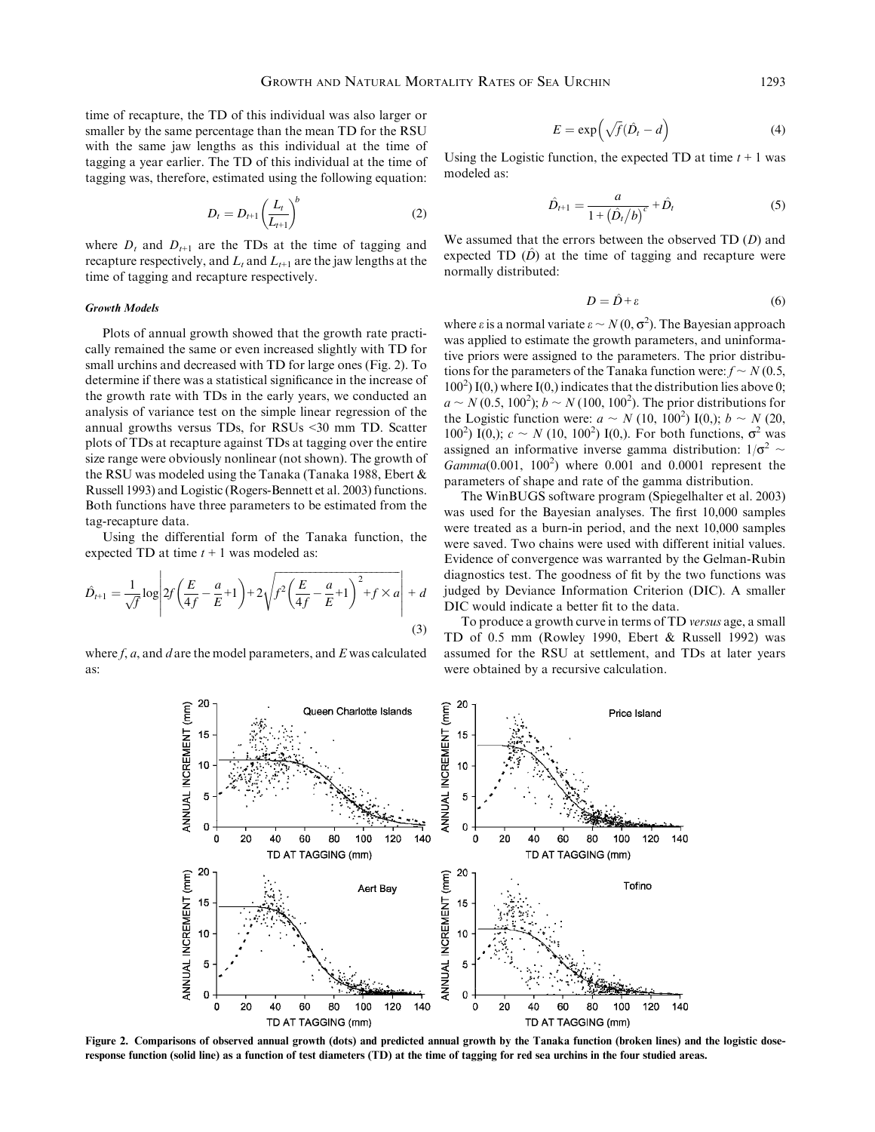time of recapture, the TD of this individual was also larger or smaller by the same percentage than the mean TD for the RSU with the same jaw lengths as this individual at the time of tagging a year earlier. The TD of this individual at the time of tagging was, therefore, estimated using the following equation:

$$
D_t = D_{t+1} \left(\frac{L_t}{L_{t+1}}\right)^b \tag{2}
$$

where  $D_t$  and  $D_{t+1}$  are the TDs at the time of tagging and recapture respectively, and  $L_t$  and  $L_{t+1}$  are the jaw lengths at the time of tagging and recapture respectively.

# Growth Models

Plots of annual growth showed that the growth rate practically remained the same or even increased slightly with TD for small urchins and decreased with TD for large ones (Fig. 2). To determine if there was a statistical significance in the increase of the growth rate with TDs in the early years, we conducted an analysis of variance test on the simple linear regression of the annual growths versus TDs, for RSUs <30 mm TD. Scatter plots of TDs at recapture against TDs at tagging over the entire size range were obviously nonlinear (not shown). The growth of the RSU was modeled using the Tanaka (Tanaka 1988, Ebert & Russell 1993) and Logistic (Rogers-Bennett et al. 2003) functions. Both functions have three parameters to be estimated from the tag-recapture data.

Using the differential form of the Tanaka function, the expected TD at time  $t + 1$  was modeled as:

$$
\hat{D}_{t+1} = \frac{1}{\sqrt{f}} \log \left| 2f\left(\frac{E}{4f} - \frac{a}{E} + 1\right) + 2\sqrt{f^2 \left(\frac{E}{4f} - \frac{a}{E} + 1\right)^2 + f \times a} \right| + d
$$
\n(3)

where  $f$ ,  $a$ , and  $d$  are the model parameters, and  $E$  was calculated as:

$$
E = \exp\left(\sqrt{f}(\hat{D}_t - d)\right) \tag{4}
$$

Using the Logistic function, the expected TD at time  $t + 1$  was modeled as:

$$
\hat{D}_{t+1} = \frac{a}{1 + (\hat{D}_t/b)^c} + \hat{D}_t
$$
\n(5)

We assumed that the errors between the observed  $TD(D)$  and expected TD  $(D)$  at the time of tagging and recapture were normally distributed:

$$
D = \hat{D} + \varepsilon \tag{6}
$$

where  $\varepsilon$  is a normal variate  $\varepsilon \sim N(0, \sigma^2)$ . The Bayesian approach was applied to estimate the growth parameters, and uninformative priors were assigned to the parameters. The prior distributions for the parameters of the Tanaka function were:  $f \sim N(0.5,$  $100<sup>2</sup>$ ) I(0,) where I(0,) indicates that the distribution lies above 0;  $a \sim N(0.5, 100^2)$ ;  $b \sim N(100, 100^2)$ . The prior distributions for the Logistic function were:  $a \sim N(10, 100^2) I(0)$ ;  $b \sim N(20, 100^2)$ 100<sup>2</sup>) I(0,);  $c \sim N(10, 100^2)$  I(0,). For both functions,  $\sigma^2$  was assigned an informative inverse gamma distribution:  $1/\sigma^2$  ~  $Gamma(0.001, 100^2)$  where  $0.001$  and  $0.0001$  represent the parameters of shape and rate of the gamma distribution.

The WinBUGS software program (Spiegelhalter et al. 2003) was used for the Bayesian analyses. The first 10,000 samples were treated as a burn-in period, and the next 10,000 samples were saved. Two chains were used with different initial values. Evidence of convergence was warranted by the Gelman-Rubin diagnostics test. The goodness of fit by the two functions was judged by Deviance Information Criterion (DIC). A smaller DIC would indicate a better fit to the data.

To produce a growth curve in terms of TD versus age, a small TD of 0.5 mm (Rowley 1990, Ebert & Russell 1992) was assumed for the RSU at settlement, and TDs at later years were obtained by a recursive calculation.



Figure 2. Comparisons of observed annual growth (dots) and predicted annual growth by the Tanaka function (broken lines) and the logistic doseresponse function (solid line) as a function of test diameters (TD) at the time of tagging for red sea urchins in the four studied areas.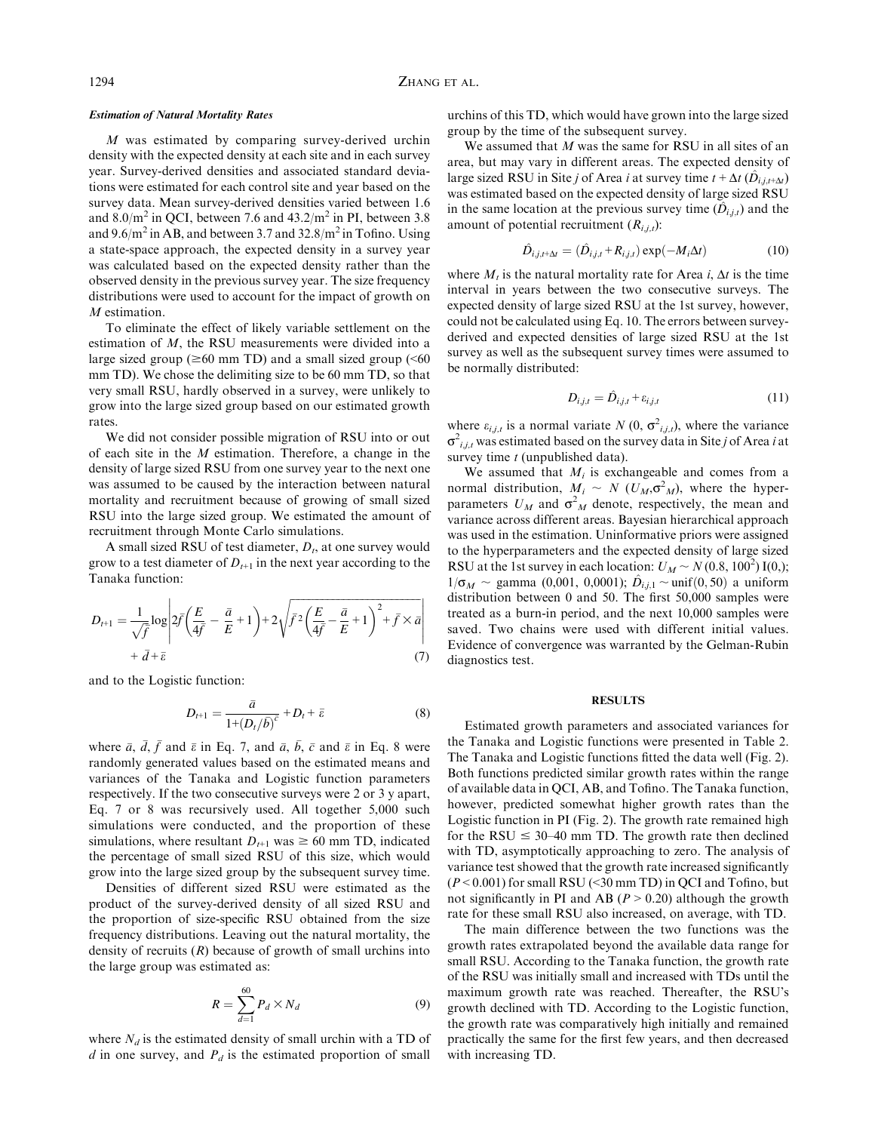# Estimation of Natural Mortality Rates

M was estimated by comparing survey-derived urchin density with the expected density at each site and in each survey year. Survey-derived densities and associated standard deviations were estimated for each control site and year based on the survey data. Mean survey-derived densities varied between 1.6 and  $8.0/m^2$  in QCI, between 7.6 and  $43.2/m^2$  in PI, between 3.8 and  $9.6/m<sup>2</sup>$  in AB, and between 3.7 and  $32.8/m<sup>2</sup>$  in Tofino. Using a state-space approach, the expected density in a survey year was calculated based on the expected density rather than the observed density in the previous survey year. The size frequency distributions were used to account for the impact of growth on M estimation.

To eliminate the effect of likely variable settlement on the estimation of M, the RSU measurements were divided into a large sized group ( $\geq 60$  mm TD) and a small sized group ( $\leq 60$ ) mm TD). We chose the delimiting size to be 60 mm TD, so that very small RSU, hardly observed in a survey, were unlikely to grow into the large sized group based on our estimated growth rates.

We did not consider possible migration of RSU into or out of each site in the M estimation. Therefore, a change in the density of large sized RSU from one survey year to the next one was assumed to be caused by the interaction between natural mortality and recruitment because of growing of small sized RSU into the large sized group. We estimated the amount of recruitment through Monte Carlo simulations.

A small sized RSU of test diameter,  $D_t$ , at one survey would grow to a test diameter of  $D_{t+1}$  in the next year according to the Tanaka function:

$$
D_{t+1} = \frac{1}{\sqrt{\bar{f}}} \log \left| 2\bar{f} \left( \frac{E}{4\bar{f}} - \frac{\bar{a}}{E} + 1 \right) + 2\sqrt{\bar{f}^2 \left( \frac{E}{4\bar{f}} - \frac{\bar{a}}{E} + 1 \right)^2 + \bar{f} \times \bar{a}} \right|
$$
  
+  $\bar{d} + \bar{\varepsilon}$  (7)

and to the Logistic function:

$$
D_{t+1} = \frac{\bar{a}}{1 + (D_t/\bar{b})^{\bar{c}}} + D_t + \bar{\varepsilon}
$$
 (8)

where  $\bar{a}$ ,  $\bar{d}$ ,  $\bar{f}$  and  $\bar{\epsilon}$  in Eq. 7, and  $\bar{a}$ ,  $\bar{b}$ ,  $\bar{c}$  and  $\bar{\epsilon}$  in Eq. 8 were randomly generated values based on the estimated means and variances of the Tanaka and Logistic function parameters respectively. If the two consecutive surveys were 2 or 3 y apart, Eq. 7 or 8 was recursively used. All together 5,000 such simulations were conducted, and the proportion of these simulations, where resultant  $D_{t+1}$  was  $\geq 60$  mm TD, indicated the percentage of small sized RSU of this size, which would grow into the large sized group by the subsequent survey time.

Densities of different sized RSU were estimated as the product of the survey-derived density of all sized RSU and the proportion of size-specific RSU obtained from the size frequency distributions. Leaving out the natural mortality, the density of recruits  $(R)$  because of growth of small urchins into the large group was estimated as:

$$
R = \sum_{d=1}^{60} P_d \times N_d \tag{9}
$$

where  $N_d$  is the estimated density of small urchin with a TD of  $d$  in one survey, and  $P_d$  is the estimated proportion of small

urchins of this TD, which would have grown into the large sized group by the time of the subsequent survey.

We assumed that  $M$  was the same for RSU in all sites of an area, but may vary in different areas. The expected density of large sized RSU in Site j of Area i at survey time  $t + \Delta t$  ( $\hat{D}_{i,j,t+\Delta t}$ ) was estimated based on the expected density of large sized RSU in the same location at the previous survey time  $(\hat{D}_{i,j,t})$  and the amount of potential recruitment  $(R_{i,j,t})$ :

$$
\hat{D}_{i,j,t+\Delta t} = (\hat{D}_{i,j,t} + R_{i,j,t}) \exp(-M_i \Delta t)
$$
\n(10)

where  $M_t$  is the natural mortality rate for Area i,  $\Delta t$  is the time interval in years between the two consecutive surveys. The expected density of large sized RSU at the 1st survey, however, could not be calculated using Eq. 10. The errors between surveyderived and expected densities of large sized RSU at the 1st survey as well as the subsequent survey times were assumed to be normally distributed:

$$
D_{i,j,t} = \hat{D}_{i,j,t} + \varepsilon_{i,j,t} \tag{11}
$$

where  $\varepsilon_{i,j,t}$  is a normal variate  $N(0, \sigma^2_{i,j,t})$ , where the variance  $\sigma^2_{i,j,t}$  was estimated based on the survey data in Site j of Area i at survey time  $t$  (unpublished data).

We assumed that  $M_i$  is exchangeable and comes from a normal distribution,  $M_i \sim N \left( U_M, \sigma^2 \right)$ , where the hyperparameters  $U_M$  and  $\sigma^2$  denote, respectively, the mean and variance across different areas. Bayesian hierarchical approach was used in the estimation. Uninformative priors were assigned to the hyperparameters and the expected density of large sized RSU at the 1st survey in each location:  $U_M \sim N(0.8, 100^2) I(0)$ ;  $1/\sigma_M \sim$  gamma (0,001, 0,0001);  $\hat{D}_{i,j,1} \sim \text{unif}(0, 50)$  a uniform distribution between 0 and 50. The first 50,000 samples were treated as a burn-in period, and the next 10,000 samples were saved. Two chains were used with different initial values. Evidence of convergence was warranted by the Gelman-Rubin diagnostics test.

# **RESULTS**

Estimated growth parameters and associated variances for the Tanaka and Logistic functions were presented in Table 2. The Tanaka and Logistic functions fitted the data well (Fig. 2). Both functions predicted similar growth rates within the range of available data in QCI, AB, and Tofino. The Tanaka function, however, predicted somewhat higher growth rates than the Logistic function in PI (Fig. 2). The growth rate remained high for the RSU  $\leq$  30–40 mm TD. The growth rate then declined with TD, asymptotically approaching to zero. The analysis of variance test showed that the growth rate increased significantly  $(P<0.001)$  for small RSU (<30 mm TD) in OCI and Tofino, but not significantly in PI and AB ( $P > 0.20$ ) although the growth rate for these small RSU also increased, on average, with TD.

The main difference between the two functions was the growth rates extrapolated beyond the available data range for small RSU. According to the Tanaka function, the growth rate of the RSU was initially small and increased with TDs until the maximum growth rate was reached. Thereafter, the RSU's growth declined with TD. According to the Logistic function, the growth rate was comparatively high initially and remained practically the same for the first few years, and then decreased with increasing TD.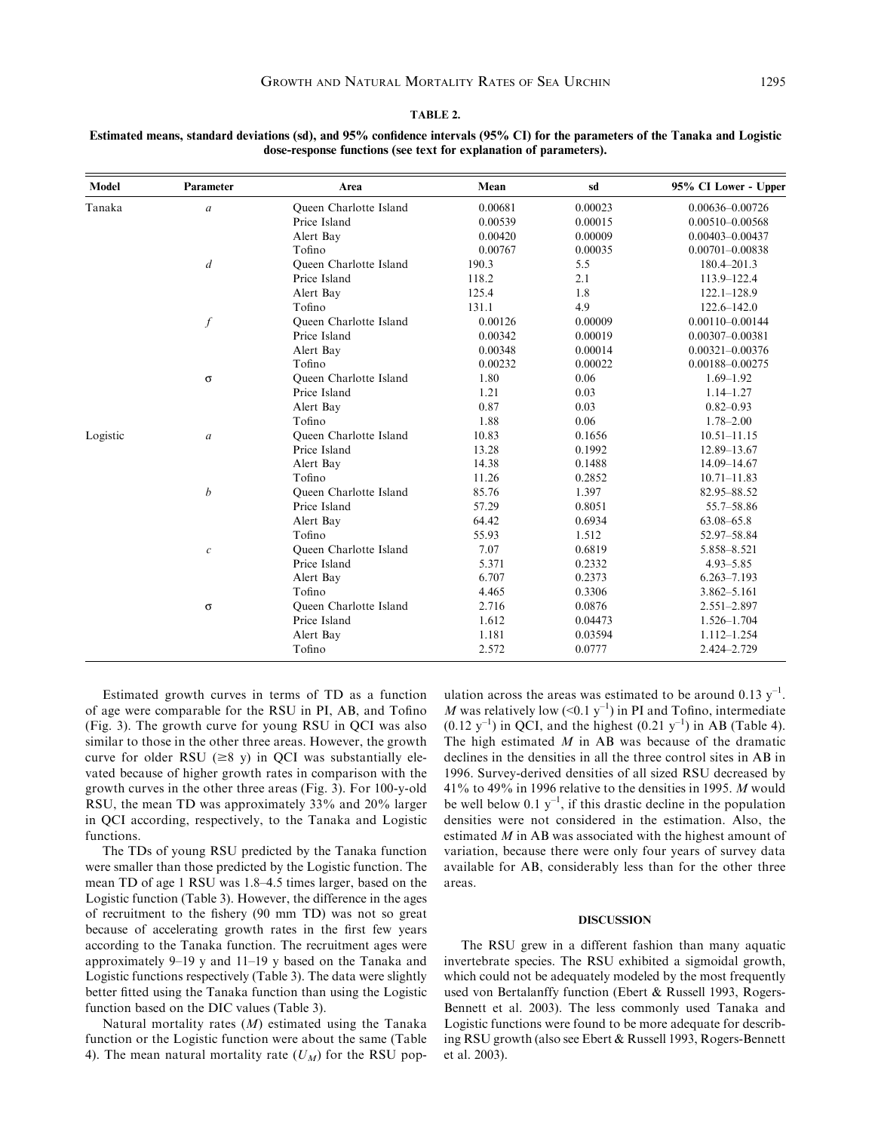TABLE 2.

| Model    | Parameter        | Area                          | Mean    | sd      | 95% CI Lower - Upper |
|----------|------------------|-------------------------------|---------|---------|----------------------|
| Tanaka   | $\boldsymbol{a}$ | Queen Charlotte Island        | 0.00681 | 0.00023 | $0.00636 - 0.00726$  |
|          |                  | Price Island                  | 0.00539 | 0.00015 | $0.00510 - 0.00568$  |
|          |                  | Alert Bay                     | 0.00420 | 0.00009 | $0.00403 - 0.00437$  |
|          |                  | Tofino                        | 0.00767 | 0.00035 | $0.00701 - 0.00838$  |
|          | $\overline{d}$   | <b>Oueen Charlotte Island</b> | 190.3   | 5.5     | $180.4 - 201.3$      |
|          |                  | Price Island                  | 118.2   | 2.1     | 113.9-122.4          |
|          |                  | Alert Bay                     | 125.4   | 1.8     | $122.1 - 128.9$      |
|          |                  | Tofino                        | 131.1   | 4.9     | $122.6 - 142.0$      |
|          | $\boldsymbol{f}$ | Queen Charlotte Island        | 0.00126 | 0.00009 | $0.00110 - 0.00144$  |
|          |                  | Price Island                  | 0.00342 | 0.00019 | $0.00307 - 0.00381$  |
|          |                  | Alert Bay                     | 0.00348 | 0.00014 | $0.00321 - 0.00376$  |
|          |                  | Tofino                        | 0.00232 | 0.00022 | 0.00188-0.00275      |
|          | $\sigma$         | <b>Oueen Charlotte Island</b> | 1.80    | 0.06    | $1.69 - 1.92$        |
|          |                  | Price Island                  | 1.21    | 0.03    | $1.14 - 1.27$        |
|          |                  | Alert Bay                     | 0.87    | 0.03    | $0.82 - 0.93$        |
|          |                  | Tofino                        | 1.88    | 0.06    | $1.78 - 2.00$        |
| Logistic | $\boldsymbol{a}$ | <b>Oueen Charlotte Island</b> | 10.83   | 0.1656  | $10.51 - 11.15$      |
|          |                  | Price Island                  | 13.28   | 0.1992  | 12.89-13.67          |
|          |                  | Alert Bay                     | 14.38   | 0.1488  | 14.09-14.67          |
|          |                  | Tofino                        | 11.26   | 0.2852  | $10.71 - 11.83$      |
|          | $\boldsymbol{b}$ | Queen Charlotte Island        | 85.76   | 1.397   | 82.95-88.52          |
|          |                  | Price Island                  | 57.29   | 0.8051  | 55.7-58.86           |
|          |                  | Alert Bay                     | 64.42   | 0.6934  | $63.08 - 65.8$       |
|          |                  | Tofino                        | 55.93   | 1.512   | 52.97-58.84          |
|          | $\boldsymbol{c}$ | Oueen Charlotte Island        | 7.07    | 0.6819  | 5.858-8.521          |
|          |                  | Price Island                  | 5.371   | 0.2332  | $4.93 - 5.85$        |
|          |                  | Alert Bay                     | 6.707   | 0.2373  | $6.263 - 7.193$      |
|          |                  | Tofino                        | 4.465   | 0.3306  | $3.862 - 5.161$      |
|          | $\sigma$         | <b>Oueen Charlotte Island</b> | 2.716   | 0.0876  | $2.551 - 2.897$      |
|          |                  | Price Island                  | 1.612   | 0.04473 | $1.526 - 1.704$      |
|          |                  | Alert Bay                     | 1.181   | 0.03594 | $1.112 - 1.254$      |
|          |                  | Tofino                        | 2.572   | 0.0777  | 2.424-2.729          |

Estimated means, standard deviations (sd), and 95% confidence intervals (95% CI) for the parameters of the Tanaka and Logistic dose-response functions (see text for explanation of parameters).

Estimated growth curves in terms of TD as a function of age were comparable for the RSU in PI, AB, and Tofino (Fig. 3). The growth curve for young RSU in QCI was also similar to those in the other three areas. However, the growth curve for older RSU ( $\geq$ 8 y) in QCI was substantially elevated because of higher growth rates in comparison with the growth curves in the other three areas (Fig. 3). For 100-y-old RSU, the mean TD was approximately 33% and 20% larger in QCI according, respectively, to the Tanaka and Logistic functions.

The TDs of young RSU predicted by the Tanaka function were smaller than those predicted by the Logistic function. The mean TD of age 1 RSU was 1.8–4.5 times larger, based on the Logistic function (Table 3). However, the difference in the ages of recruitment to the fishery (90 mm TD) was not so great because of accelerating growth rates in the first few years according to the Tanaka function. The recruitment ages were approximately 9–19 y and 11–19 y based on the Tanaka and Logistic functions respectively (Table 3). The data were slightly better fitted using the Tanaka function than using the Logistic function based on the DIC values (Table 3).

Natural mortality rates  $(M)$  estimated using the Tanaka function or the Logistic function were about the same (Table 4). The mean natural mortality rate  $(U_M)$  for the RSU pop-

ulation across the areas was estimated to be around  $0.13 \text{ y}^{-1}$ . M was relatively low  $(<0.1 y^{-1})$  in PI and Tofino, intermediate  $(0.12 \text{ y}^{-1})$  in QCI, and the highest  $(0.21 \text{ y}^{-1})$  in AB (Table 4). The high estimated  $M$  in AB was because of the dramatic declines in the densities in all the three control sites in AB in 1996. Survey-derived densities of all sized RSU decreased by 41% to 49% in 1996 relative to the densities in 1995. M would be well below  $0.1 y^{-1}$ , if this drastic decline in the population densities were not considered in the estimation. Also, the estimated  $M$  in AB was associated with the highest amount of variation, because there were only four years of survey data available for AB, considerably less than for the other three areas.

#### DISCUSSION

The RSU grew in a different fashion than many aquatic invertebrate species. The RSU exhibited a sigmoidal growth, which could not be adequately modeled by the most frequently used von Bertalanffy function (Ebert & Russell 1993, Rogers-Bennett et al. 2003). The less commonly used Tanaka and Logistic functions were found to be more adequate for describing RSU growth (also see Ebert & Russell 1993, Rogers-Bennett et al. 2003).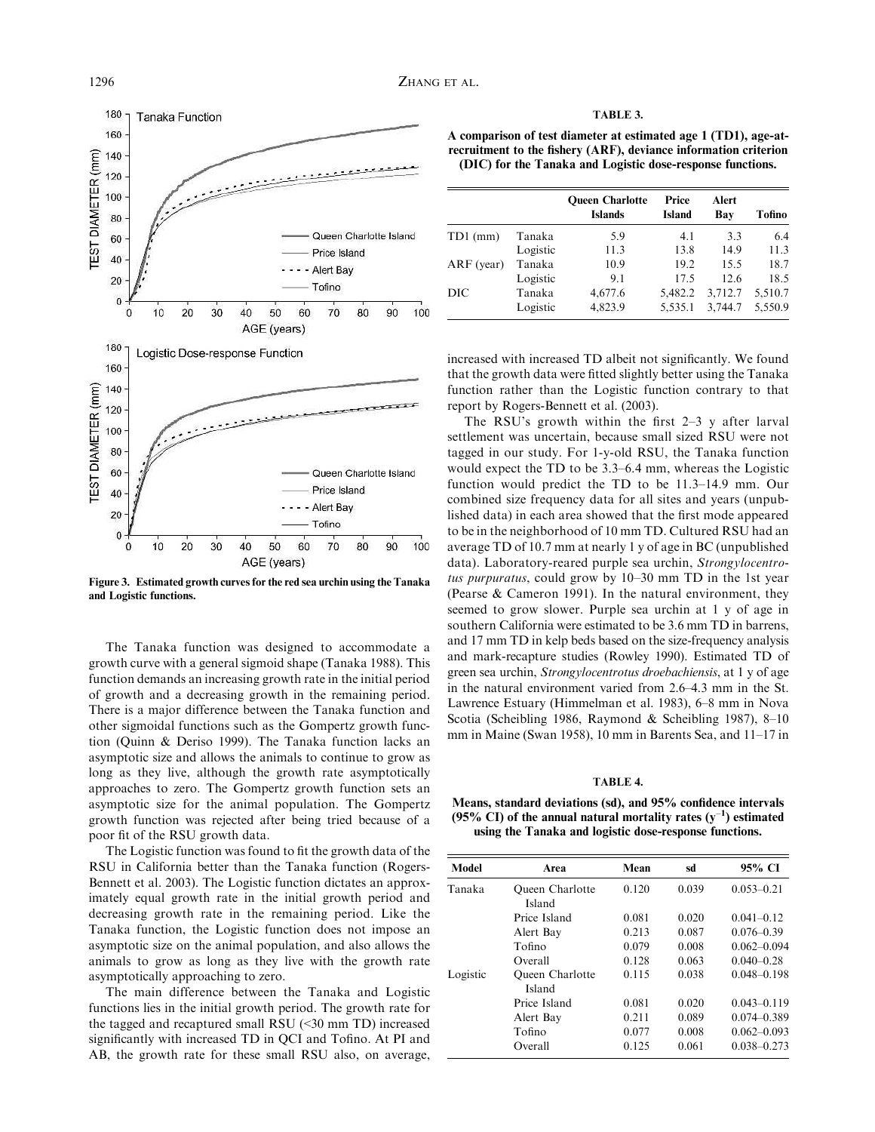

Figure 3. Estimated growth curves for the red sea urchin using the Tanaka and Logistic functions.

The Tanaka function was designed to accommodate a growth curve with a general sigmoid shape (Tanaka 1988). This function demands an increasing growth rate in the initial period of growth and a decreasing growth in the remaining period. There is a major difference between the Tanaka function and other sigmoidal functions such as the Gompertz growth function (Quinn & Deriso 1999). The Tanaka function lacks an asymptotic size and allows the animals to continue to grow as long as they live, although the growth rate asymptotically approaches to zero. The Gompertz growth function sets an asymptotic size for the animal population. The Gompertz growth function was rejected after being tried because of a poor fit of the RSU growth data.

The Logistic function was found to fit the growth data of the RSU in California better than the Tanaka function (Rogers-Bennett et al. 2003). The Logistic function dictates an approximately equal growth rate in the initial growth period and decreasing growth rate in the remaining period. Like the Tanaka function, the Logistic function does not impose an asymptotic size on the animal population, and also allows the animals to grow as long as they live with the growth rate asymptotically approaching to zero.

The main difference between the Tanaka and Logistic functions lies in the initial growth period. The growth rate for the tagged and recaptured small RSU (<30 mm TD) increased significantly with increased TD in QCI and Tofino. At PI and AB, the growth rate for these small RSU also, on average,

| A RT<br>лM. |  |
|-------------|--|
|-------------|--|

A comparison of test diameter at estimated age 1 (TD1), age-atrecruitment to the fishery (ARF), deviance information criterion (DIC) for the Tanaka and Logistic dose-response functions.

|              |          | <b>Oueen Charlotte</b><br><b>Islands</b> | Price<br><b>Island</b> | Alert<br>Bay | <b>Tofino</b> |
|--------------|----------|------------------------------------------|------------------------|--------------|---------------|
| $TD1$ (mm)   | Tanaka   | 5.9                                      | 4.1                    | 3.3          | 6.4           |
|              | Logistic | 11.3                                     | 13.8                   | 14.9         | 11.3          |
| $ARF$ (year) | Tanaka   | 10.9                                     | 19.2                   | 15.5         | 18.7          |
|              | Logistic | 9.1                                      | 17.5                   | 12.6         | 18.5          |
| DIC          | Tanaka   | 4,677.6                                  | 5,482.2                | 3,712.7      | 5,510.7       |
|              | Logistic | 4,823.9                                  | 5.535.1                | 3,744.7      | 5.550.9       |

increased with increased TD albeit not significantly. We found that the growth data were fitted slightly better using the Tanaka function rather than the Logistic function contrary to that report by Rogers-Bennett et al. (2003).

The RSU's growth within the first 2–3 y after larval settlement was uncertain, because small sized RSU were not tagged in our study. For 1-y-old RSU, the Tanaka function would expect the TD to be 3.3–6.4 mm, whereas the Logistic function would predict the TD to be 11.3–14.9 mm. Our combined size frequency data for all sites and years (unpublished data) in each area showed that the first mode appeared to be in the neighborhood of 10 mm TD. Cultured RSU had an average TD of 10.7 mm at nearly 1 y of age in BC (unpublished data). Laboratory-reared purple sea urchin, Strongylocentrotus purpuratus, could grow by 10–30 mm TD in the 1st year (Pearse & Cameron 1991). In the natural environment, they seemed to grow slower. Purple sea urchin at 1 y of age in southern California were estimated to be 3.6 mm TD in barrens, and 17 mm TD in kelp beds based on the size-frequency analysis and mark-recapture studies (Rowley 1990). Estimated TD of green sea urchin, Strongylocentrotus droebachiensis, at 1 y of age in the natural environment varied from 2.6–4.3 mm in the St. Lawrence Estuary (Himmelman et al. 1983), 6–8 mm in Nova Scotia (Scheibling 1986, Raymond & Scheibling 1987), 8–10 mm in Maine (Swan 1958), 10 mm in Barents Sea, and 11–17 in

## TABLE 4.

Means, standard deviations (sd), and 95% confidence intervals (95% CI) of the annual natural mortality rates  $(y^{-1})$  estimated using the Tanaka and logistic dose-response functions.

| <b>Model</b> | Area                             | Mean  | sd    | 95% CI          |
|--------------|----------------------------------|-------|-------|-----------------|
| Tanaka       | <b>Oueen Charlotte</b><br>Island | 0.120 | 0.039 | $0.053 - 0.21$  |
|              | Price Island                     | 0.081 | 0.020 | $0.041 - 0.12$  |
|              | Alert Bay                        | 0.213 | 0.087 | $0.076 - 0.39$  |
|              | Tofino                           | 0.079 | 0.008 | $0.062 - 0.094$ |
|              | Overall                          | 0.128 | 0.063 | $0.040 - 0.28$  |
| Logistic     | <b>Oueen Charlotte</b><br>Island | 0.115 | 0.038 | $0.048 - 0.198$ |
|              | Price Island                     | 0.081 | 0.020 | $0.043 - 0.119$ |
|              | Alert Bay                        | 0.211 | 0.089 | $0.074 - 0.389$ |
|              | Tofino                           | 0.077 | 0.008 | $0.062 - 0.093$ |
|              | Overall                          | 0.125 | 0.061 | $0.038 - 0.273$ |
|              |                                  |       |       |                 |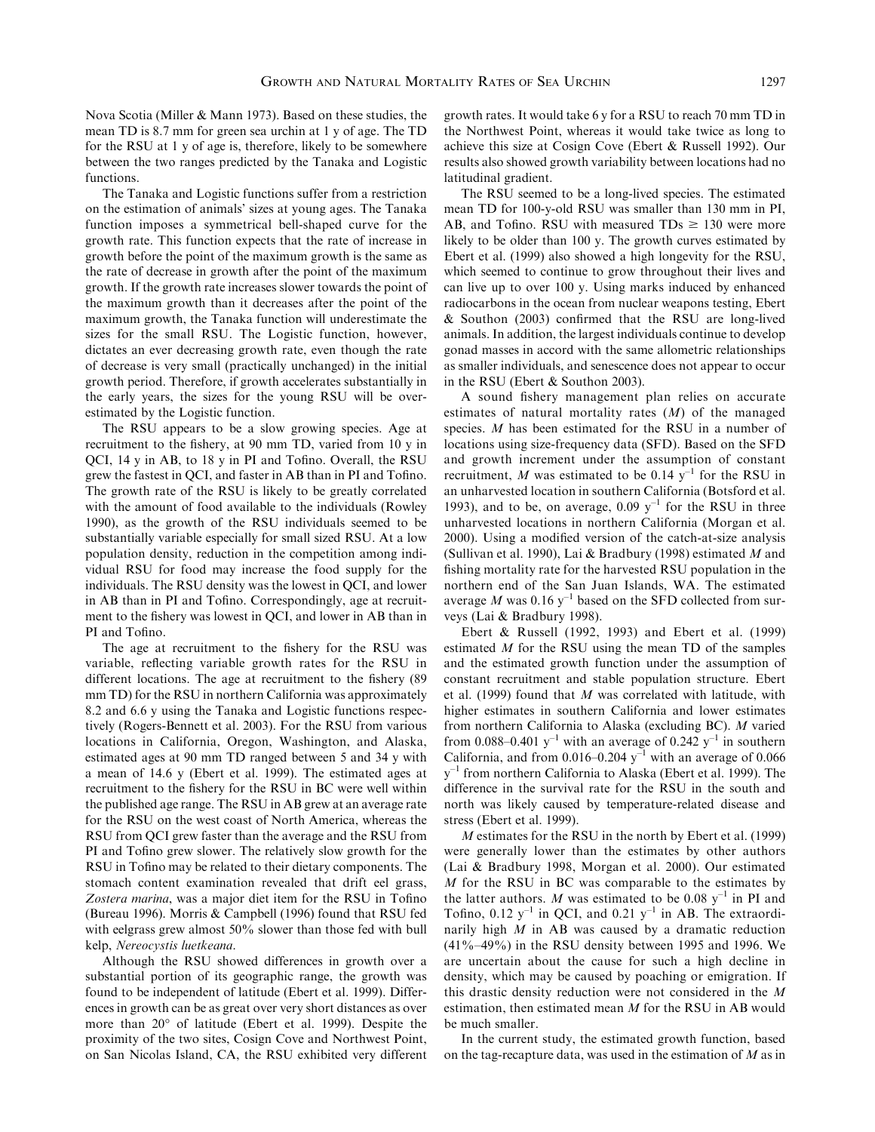Nova Scotia (Miller & Mann 1973). Based on these studies, the mean TD is 8.7 mm for green sea urchin at 1 y of age. The TD for the RSU at 1 y of age is, therefore, likely to be somewhere between the two ranges predicted by the Tanaka and Logistic functions.

The Tanaka and Logistic functions suffer from a restriction on the estimation of animals' sizes at young ages. The Tanaka function imposes a symmetrical bell-shaped curve for the growth rate. This function expects that the rate of increase in growth before the point of the maximum growth is the same as the rate of decrease in growth after the point of the maximum growth. If the growth rate increases slower towards the point of the maximum growth than it decreases after the point of the maximum growth, the Tanaka function will underestimate the sizes for the small RSU. The Logistic function, however, dictates an ever decreasing growth rate, even though the rate of decrease is very small (practically unchanged) in the initial growth period. Therefore, if growth accelerates substantially in the early years, the sizes for the young RSU will be overestimated by the Logistic function.

The RSU appears to be a slow growing species. Age at recruitment to the fishery, at 90 mm TD, varied from 10 y in QCI, 14 y in AB, to 18 y in PI and Tofino. Overall, the RSU grew the fastest in QCI, and faster in AB than in PI and Tofino. The growth rate of the RSU is likely to be greatly correlated with the amount of food available to the individuals (Rowley 1990), as the growth of the RSU individuals seemed to be substantially variable especially for small sized RSU. At a low population density, reduction in the competition among individual RSU for food may increase the food supply for the individuals. The RSU density was the lowest in QCI, and lower in AB than in PI and Tofino. Correspondingly, age at recruitment to the fishery was lowest in QCI, and lower in AB than in PI and Tofino.

The age at recruitment to the fishery for the RSU was variable, reflecting variable growth rates for the RSU in different locations. The age at recruitment to the fishery (89 mm TD) for the RSU in northern California was approximately 8.2 and 6.6 y using the Tanaka and Logistic functions respectively (Rogers-Bennett et al. 2003). For the RSU from various locations in California, Oregon, Washington, and Alaska, estimated ages at 90 mm TD ranged between 5 and 34 y with a mean of 14.6 y (Ebert et al. 1999). The estimated ages at recruitment to the fishery for the RSU in BC were well within the published age range. The RSU in AB grew at an average rate for the RSU on the west coast of North America, whereas the RSU from QCI grew faster than the average and the RSU from PI and Tofino grew slower. The relatively slow growth for the RSU in Tofino may be related to their dietary components. The stomach content examination revealed that drift eel grass, Zostera marina, was a major diet item for the RSU in Tofino (Bureau 1996). Morris & Campbell (1996) found that RSU fed with eelgrass grew almost 50% slower than those fed with bull kelp, Nereocystis luetkeana.

Although the RSU showed differences in growth over a substantial portion of its geographic range, the growth was found to be independent of latitude (Ebert et al. 1999). Differences in growth can be as great over very short distances as over more than 20° of latitude (Ebert et al. 1999). Despite the proximity of the two sites, Cosign Cove and Northwest Point, on San Nicolas Island, CA, the RSU exhibited very different growth rates. It would take 6 y for a RSU to reach 70 mm TD in the Northwest Point, whereas it would take twice as long to achieve this size at Cosign Cove (Ebert & Russell 1992). Our results also showed growth variability between locations had no latitudinal gradient.

The RSU seemed to be a long-lived species. The estimated mean TD for 100-y-old RSU was smaller than 130 mm in PI, AB, and Tofino. RSU with measured  $TDs \ge 130$  were more likely to be older than 100 y. The growth curves estimated by Ebert et al. (1999) also showed a high longevity for the RSU, which seemed to continue to grow throughout their lives and can live up to over 100 y. Using marks induced by enhanced radiocarbons in the ocean from nuclear weapons testing, Ebert & Southon (2003) confirmed that the RSU are long-lived animals. In addition, the largest individuals continue to develop gonad masses in accord with the same allometric relationships as smaller individuals, and senescence does not appear to occur in the RSU (Ebert & Southon 2003).

A sound fishery management plan relies on accurate estimates of natural mortality rates  $(M)$  of the managed species. M has been estimated for the RSU in a number of locations using size-frequency data (SFD). Based on the SFD and growth increment under the assumption of constant recruitment, M was estimated to be  $0.14 \text{ y}^{-1}$  for the RSU in an unharvested location in southern California (Botsford et al. 1993), and to be, on average,  $0.09 \text{ y}^{-1}$  for the RSU in three unharvested locations in northern California (Morgan et al. 2000). Using a modified version of the catch-at-size analysis (Sullivan et al. 1990), Lai & Bradbury (1998) estimated M and fishing mortality rate for the harvested RSU population in the northern end of the San Juan Islands, WA. The estimated average M was  $0.16$  y<sup>-1</sup> based on the SFD collected from surveys (Lai & Bradbury 1998).

Ebert & Russell (1992, 1993) and Ebert et al. (1999) estimated M for the RSU using the mean TD of the samples and the estimated growth function under the assumption of constant recruitment and stable population structure. Ebert et al. (1999) found that M was correlated with latitude, with higher estimates in southern California and lower estimates from northern California to Alaska (excluding BC). M varied from 0.088–0.401  $y^{-1}$  with an average of 0.242  $y^{-1}$  in southern California, and from  $0.016-0.204$  y<sup>-1</sup> with an average of 0.066  $y^{-1}$  from northern California to Alaska (Ebert et al. 1999). The difference in the survival rate for the RSU in the south and north was likely caused by temperature-related disease and stress (Ebert et al. 1999).

M estimates for the RSU in the north by Ebert et al. (1999) were generally lower than the estimates by other authors (Lai & Bradbury 1998, Morgan et al. 2000). Our estimated M for the RSU in BC was comparable to the estimates by the latter authors. M was estimated to be 0.08  $y^{-1}$  in PI and Tofino,  $0.12 \text{ y}^{-1}$  in QCI, and  $0.21 \text{ y}^{-1}$  in AB. The extraordinarily high  $M$  in AB was caused by a dramatic reduction (41%–49%) in the RSU density between 1995 and 1996. We are uncertain about the cause for such a high decline in density, which may be caused by poaching or emigration. If this drastic density reduction were not considered in the M estimation, then estimated mean M for the RSU in AB would be much smaller.

In the current study, the estimated growth function, based on the tag-recapture data, was used in the estimation of M as in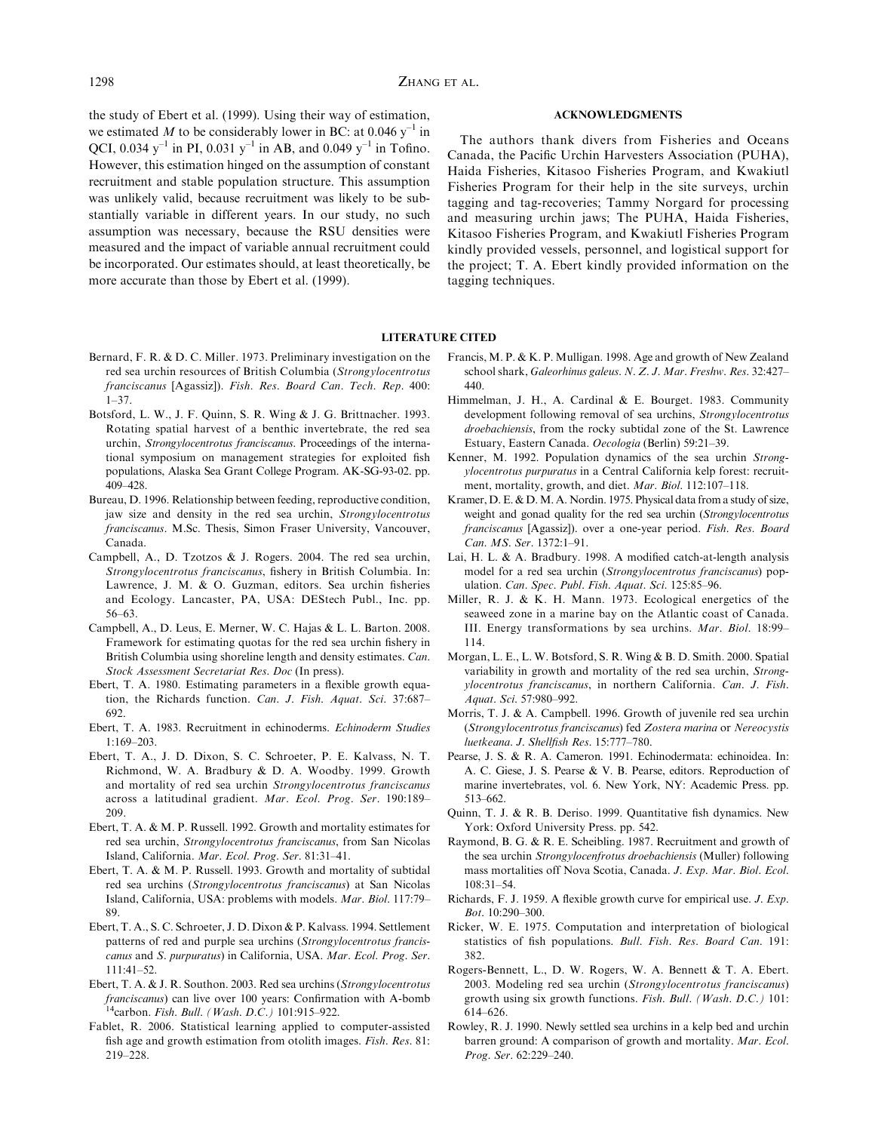the study of Ebert et al. (1999). Using their way of estimation, we estimated M to be considerably lower in BC: at 0.046  $y^{-1}$  in QCI, 0.034 y<sup>-1</sup> in PI, 0.031 y<sup>-1</sup> in AB, and 0.049 y<sup>-1</sup> in Tofino. However, this estimation hinged on the assumption of constant recruitment and stable population structure. This assumption was unlikely valid, because recruitment was likely to be substantially variable in different years. In our study, no such assumption was necessary, because the RSU densities were measured and the impact of variable annual recruitment could be incorporated. Our estimates should, at least theoretically, be more accurate than those by Ebert et al. (1999).

#### ACKNOWLEDGMENTS

The authors thank divers from Fisheries and Oceans Canada, the Pacific Urchin Harvesters Association (PUHA), Haida Fisheries, Kitasoo Fisheries Program, and Kwakiutl Fisheries Program for their help in the site surveys, urchin tagging and tag-recoveries; Tammy Norgard for processing and measuring urchin jaws; The PUHA, Haida Fisheries, Kitasoo Fisheries Program, and Kwakiutl Fisheries Program kindly provided vessels, personnel, and logistical support for the project; T. A. Ebert kindly provided information on the tagging techniques.

# LITERATURE CITED

- Bernard, F. R. & D. C. Miller. 1973. Preliminary investigation on the red sea urchin resources of British Columbia (Strongylocentrotus franciscanus [Agassiz]). Fish. Res. Board Can. Tech. Rep. 400: 1–37.
- Botsford, L. W., J. F. Quinn, S. R. Wing & J. G. Brittnacher. 1993. Rotating spatial harvest of a benthic invertebrate, the red sea urchin, Strongylocentrotus franciscanus. Proceedings of the international symposium on management strategies for exploited fish populations, Alaska Sea Grant College Program. AK-SG-93-02. pp. 409–428.
- Bureau, D. 1996. Relationship between feeding, reproductive condition, jaw size and density in the red sea urchin, Strongylocentrotus franciscanus. M.Sc. Thesis, Simon Fraser University, Vancouver, Canada.
- Campbell, A., D. Tzotzos & J. Rogers. 2004. The red sea urchin, Strongylocentrotus franciscanus, fishery in British Columbia. In: Lawrence, J. M. & O. Guzman, editors. Sea urchin fisheries and Ecology. Lancaster, PA, USA: DEStech Publ., Inc. pp. 56–63.
- Campbell, A., D. Leus, E. Merner, W. C. Hajas & L. L. Barton. 2008. Framework for estimating quotas for the red sea urchin fishery in British Columbia using shoreline length and density estimates. Can. Stock Assessment Secretariat Res. Doc (In press).
- Ebert, T. A. 1980. Estimating parameters in a flexible growth equation, the Richards function. Can. J. Fish. Aquat. Sci. 37:687– 692.
- Ebert, T. A. 1983. Recruitment in echinoderms. Echinoderm Studies 1:169–203.
- Ebert, T. A., J. D. Dixon, S. C. Schroeter, P. E. Kalvass, N. T. Richmond, W. A. Bradbury & D. A. Woodby. 1999. Growth and mortality of red sea urchin Strongylocentrotus franciscanus across a latitudinal gradient. Mar. Ecol. Prog. Ser. 190:189– 209.
- Ebert, T. A. & M. P. Russell. 1992. Growth and mortality estimates for red sea urchin, Strongylocentrotus franciscanus, from San Nicolas Island, California. Mar. Ecol. Prog. Ser. 81:31–41.
- Ebert, T. A. & M. P. Russell. 1993. Growth and mortality of subtidal red sea urchins (Strongylocentrotus franciscanus) at San Nicolas Island, California, USA: problems with models. Mar. Biol. 117:79– 89.
- Ebert, T. A., S. C. Schroeter, J. D. Dixon & P. Kalvass. 1994. Settlement patterns of red and purple sea urchins (Strongylocentrotus franciscanus and S. purpuratus) in California, USA. Mar. Ecol. Prog. Ser. 111:41–52.
- Ebert, T. A. & J. R. Southon. 2003. Red sea urchins (Strongylocentrotus franciscanus) can live over 100 years: Confirmation with A-bomb <sup>14</sup>carbon. Fish. Bull. (Wash. D.C.) 101:915–922.
- Fablet, R. 2006. Statistical learning applied to computer-assisted fish age and growth estimation from otolith images. Fish. Res. 81: 219–228.
- Francis, M. P. & K. P. Mulligan. 1998. Age and growth of New Zealand school shark, Galeorhinus galeus. N. Z. J. Mar. Freshw. Res. 32:427– 440.
- Himmelman, J. H., A. Cardinal & E. Bourget. 1983. Community development following removal of sea urchins, Strongylocentrotus droebachiensis, from the rocky subtidal zone of the St. Lawrence Estuary, Eastern Canada. Oecologia (Berlin) 59:21–39.
- Kenner, M. 1992. Population dynamics of the sea urchin Strongylocentrotus purpuratus in a Central California kelp forest: recruitment, mortality, growth, and diet. Mar. Biol. 112:107–118.
- Kramer, D. E. & D.M. A. Nordin. 1975. Physical data from a study of size, weight and gonad quality for the red sea urchin (Strongylocentrotus franciscanus [Agassiz]). over a one-year period. Fish. Res. Board Can. MS. Ser. 1372:1–91.
- Lai, H. L. & A. Bradbury. 1998. A modified catch-at-length analysis model for a red sea urchin (Strongylocentrotus franciscanus) population. Can. Spec. Publ. Fish. Aquat. Sci. 125:85–96.
- Miller, R. J. & K. H. Mann. 1973. Ecological energetics of the seaweed zone in a marine bay on the Atlantic coast of Canada. III. Energy transformations by sea urchins. Mar. Biol. 18:99– 114.
- Morgan, L. E., L. W. Botsford, S. R. Wing & B. D. Smith. 2000. Spatial variability in growth and mortality of the red sea urchin, Strongylocentrotus franciscanus, in northern California. Can. J. Fish. Aquat. Sci. 57:980–992.
- Morris, T. J. & A. Campbell. 1996. Growth of juvenile red sea urchin (Strongylocentrotus franciscanus) fed Zostera marina or Nereocystis luetkeana. J. Shellfish Res. 15:777–780.
- Pearse, J. S. & R. A. Cameron. 1991. Echinodermata: echinoidea. In: A. C. Giese, J. S. Pearse & V. B. Pearse, editors. Reproduction of marine invertebrates, vol. 6. New York, NY: Academic Press. pp. 513–662.
- Quinn, T. J. & R. B. Deriso. 1999. Quantitative fish dynamics. New York: Oxford University Press. pp. 542.
- Raymond, B. G. & R. E. Scheibling. 1987. Recruitment and growth of the sea urchin Strongylocenfrotus droebachiensis (Muller) following mass mortalities off Nova Scotia, Canada. J. Exp. Mar. Biol. Ecol. 108:31–54.
- Richards, F. J. 1959. A flexible growth curve for empirical use. J. Exp. Bot. 10:290–300.
- Ricker, W. E. 1975. Computation and interpretation of biological statistics of fish populations. Bull. Fish. Res. Board Can. 191: 382.
- Rogers-Bennett, L., D. W. Rogers, W. A. Bennett & T. A. Ebert. 2003. Modeling red sea urchin (Strongylocentrotus franciscanus) growth using six growth functions. Fish. Bull. (Wash. D.C.) 101: 614–626.
- Rowley, R. J. 1990. Newly settled sea urchins in a kelp bed and urchin barren ground: A comparison of growth and mortality. Mar. Ecol. Prog. Ser. 62:229–240.